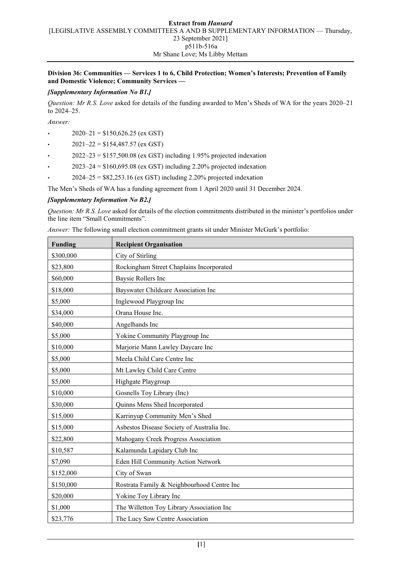### **Extract from** *Hansard* [LEGISLATIVE ASSEMBLY COMMITTEES A AND B SUPPLEMENTARY INFORMATION — Thursday, 23 September 2021] p511b-516a Mr Shane Love; Ms Libby Mettam

### **Division 36: Communities — Services 1 to 6, Child Protection; Women's Interests; Prevention of Family and Domestic Violence; Community Services —**

## *[Supplementary Information No B1.]*

*Question: Mr R.S. Love* asked for details of the funding awarded to Men's Sheds of WA for the years 2020–21 to 2024–25.

*Answer:*

- $2020-21 = $150,626.25$  (ex GST)
- $2021-22 = $154,487.57$  (ex GST)
- $2022-23 = $157,500.08$  (ex GST) including 1.95% projected indexation
- $2023-24 = $160,695.08$  (ex GST) including 2.20% projected indexation
- $2024-25 = $82,253.16$  (ex GST) including 2.20% projected indexation

The Men's Sheds of WA has a funding agreement from 1 April 2020 until 31 December 2024.

## *[Supplementary Information No B2.]*

*Question: Mr R.S. Love* asked for details of the election commitments distributed in the minister's portfolios under the line item "Small Commitments".

*Answer:* The following small election commitment grants sit under Minister McGurk's portfolio:

| <b>Funding</b> | <b>Recipient Organisation</b>              |
|----------------|--------------------------------------------|
| \$300,000      | City of Stirling                           |
| \$23,800       | Rockingham Street Chaplains Incorporated   |
| \$60,000       | Baysie Rollers Inc                         |
| \$18,000       | Bayswater Childcare Association Inc        |
| \$5,000        | Inglewood Playgroup Inc                    |
| \$34,000       | Orana House Inc.                           |
| \$40,000       | Angelhands Inc                             |
| \$5,000        | Yokine Community Playgroup Inc             |
| \$10,000       | Marjorie Mann Lawley Daycare Inc           |
| \$5,000        | Meela Child Care Centre Inc                |
| \$5,000        | Mt Lawley Child Care Centre                |
| \$5,000        | Highgate Playgroup                         |
| \$10,000       | Gosnells Toy Library (Inc)                 |
| \$30,000       | Quinns Mens Shed Incorporated              |
| \$15,000       | Karrinyup Community Men's Shed             |
| \$15,000       | Asbestos Disease Society of Australia Inc. |
| \$22,800       | Mahogany Creek Progress Association        |
| \$10,587       | Kalamunda Lapidary Club Inc                |
| \$7,090        | Eden Hill Community Action Network         |
| \$152,000      | City of Swan                               |
| \$150,000      | Rostrata Family & Neighbourhood Centre Inc |
| \$20,000       | Yokine Toy Library Inc                     |
| \$1,000        | The Willetton Toy Library Association Inc  |
| \$23,776       | The Lucy Saw Centre Association            |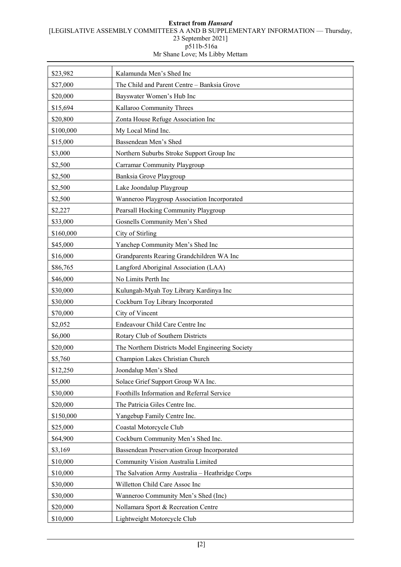#### **Extract from** *Hansard* [LEGISLATIVE ASSEMBLY COMMITTEES A AND B SUPPLEMENTARY INFORMATION — Thursday, 23 September 2021] p511b-516a Mr Shane Love; Ms Libby Mettam

| \$23,982  | Kalamunda Men's Shed Inc                         |
|-----------|--------------------------------------------------|
| \$27,000  | The Child and Parent Centre - Banksia Grove      |
| \$20,000  | Bayswater Women's Hub Inc                        |
| \$15,694  | Kallaroo Community Threes                        |
| \$20,800  | Zonta House Refuge Association Inc               |
| \$100,000 | My Local Mind Inc.                               |
| \$15,000  | Bassendean Men's Shed                            |
| \$3,000   | Northern Suburbs Stroke Support Group Inc        |
| \$2,500   | Carramar Community Playgroup                     |
| \$2,500   | Banksia Grove Playgroup                          |
| \$2,500   | Lake Joondalup Playgroup                         |
| \$2,500   | Wanneroo Playgroup Association Incorporated      |
| \$2,227   | Pearsall Hocking Community Playgroup             |
| \$33,000  | Gosnells Community Men's Shed                    |
| \$160,000 | City of Stirling                                 |
| \$45,000  | Yanchep Community Men's Shed Inc                 |
| \$16,000  | Grandparents Rearing Grandchildren WA Inc        |
| \$86,765  | Langford Aboriginal Association (LAA)            |
| \$46,000  | No Limits Perth Inc                              |
| \$30,000  | Kulungah-Myah Toy Library Kardinya Inc           |
| \$30,000  | Cockburn Toy Library Incorporated                |
| \$70,000  | City of Vincent                                  |
| \$2,052   | Endeavour Child Care Centre Inc                  |
| \$6,000   | Rotary Club of Southern Districts                |
| \$20,000  | The Northern Districts Model Engineering Society |
| \$5,760   | Champion Lakes Christian Church                  |
| \$12,250  | Joondalup Men's Shed                             |
| \$5,000   | Solace Grief Support Group WA Inc.               |
| \$30,000  | Foothills Information and Referral Service       |
| \$20,000  | The Patricia Giles Centre Inc.                   |
| \$150,000 | Yangebup Family Centre Inc.                      |
| \$25,000  | Coastal Motorcycle Club                          |
| \$64,900  | Cockburn Community Men's Shed Inc.               |
| \$3,169   | Bassendean Preservation Group Incorporated       |
| \$10,000  | Community Vision Australia Limited               |
| \$10,000  | The Salvation Army Australia - Heathridge Corps  |
| \$30,000  | Willetton Child Care Assoc Inc                   |
|           |                                                  |
| \$30,000  | Wanneroo Community Men's Shed (Inc)              |
| \$20,000  | Nollamara Sport & Recreation Centre              |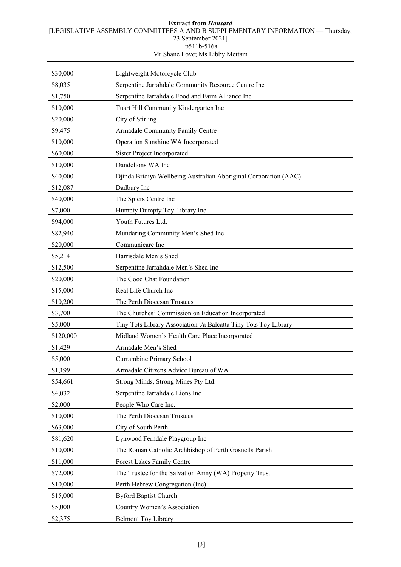## **Extract from** *Hansard* [LEGISLATIVE ASSEMBLY COMMITTEES A AND B SUPPLEMENTARY INFORMATION — Thursday, 23 September 2021] p511b-516a

Mr Shane Love; Ms Libby Mettam

| \$30,000  | Lightweight Motorcycle Club                                      |
|-----------|------------------------------------------------------------------|
| \$8,035   | Serpentine Jarrahdale Community Resource Centre Inc              |
| \$1,750   | Serpentine Jarrahdale Food and Farm Alliance Inc                 |
| \$10,000  | Tuart Hill Community Kindergarten Inc                            |
| \$20,000  | City of Stirling                                                 |
| \$9,475   | Armadale Community Family Centre                                 |
| \$10,000  | Operation Sunshine WA Incorporated                               |
| \$60,000  | <b>Sister Project Incorporated</b>                               |
| \$10,000  | Dandelions WA Inc                                                |
| \$40,000  | Djinda Bridiya Wellbeing Australian Aboriginal Corporation (AAC) |
| \$12,087  | Dadbury Inc                                                      |
| \$40,000  | The Spiers Centre Inc                                            |
| \$7,000   | Humpty Dumpty Toy Library Inc                                    |
| \$94,000  | Youth Futures Ltd.                                               |
| \$82,940  | Mundaring Community Men's Shed Inc                               |
| \$20,000  | Communicare Inc                                                  |
| \$5,214   | Harrisdale Men's Shed                                            |
| \$12,500  | Serpentine Jarrahdale Men's Shed Inc                             |
| \$20,000  | The Good Chat Foundation                                         |
| \$15,000  | Real Life Church Inc                                             |
| \$10,200  | The Perth Diocesan Trustees                                      |
| \$3,700   | The Churches' Commission on Education Incorporated               |
| \$5,000   | Tiny Tots Library Association t/a Balcatta Tiny Tots Toy Library |
| \$120,000 | Midland Women's Health Care Place Incorporated                   |
| \$1,429   | Armadale Men's Shed                                              |
| \$5,000   | Currambine Primary School                                        |
| \$1,199   | Armadale Citizens Advice Bureau of WA                            |
| \$54,661  | Strong Minds, Strong Mines Pty Ltd.                              |
| \$4,032   | Serpentine Jarrahdale Lions Inc                                  |
| \$2,000   | People Who Care Inc.                                             |
| \$10,000  | The Perth Diocesan Trustees                                      |
| \$63,000  | City of South Perth                                              |
| \$81,620  | Lynwood Ferndale Playgroup Inc                                   |
| \$10,000  | The Roman Catholic Archbishop of Perth Gosnells Parish           |
| \$11,000  | Forest Lakes Family Centre                                       |
| \$72,000  | The Trustee for the Salvation Army (WA) Property Trust           |
| \$10,000  | Perth Hebrew Congregation (Inc)                                  |
| \$15,000  | <b>Byford Baptist Church</b>                                     |
| \$5,000   | Country Women's Association                                      |
| \$2,375   | <b>Belmont Toy Library</b>                                       |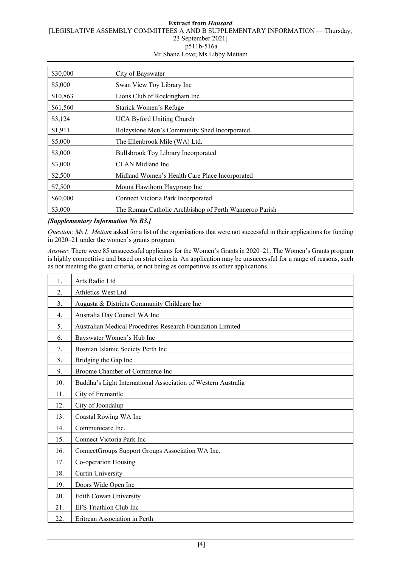#### **Extract from** *Hansard* [LEGISLATIVE ASSEMBLY COMMITTEES A AND B SUPPLEMENTARY INFORMATION — Thursday, 23 September 2021] p511b-516a Mr Shane Love; Ms Libby Mettam

| \$30,000 | City of Bayswater                                      |
|----------|--------------------------------------------------------|
| \$5,000  | Swan View Toy Library Inc                              |
| \$10,863 | Lions Club of Rockingham Inc                           |
| \$61,560 | Starick Women's Refuge                                 |
| \$3,124  | <b>UCA Byford Uniting Church</b>                       |
| \$1,911  | Roleystone Men's Community Shed Incorporated           |
| \$5,000  | The Ellenbrook Mile (WA) Ltd.                          |
| \$3,000  | Bullsbrook Toy Library Incorporated                    |
| \$3,000  | CLAN Midland Inc                                       |
| \$2,500  | Midland Women's Health Care Place Incorporated         |
| \$7,500  | Mount Hawthorn Playgroup Inc                           |
| \$60,000 | Connect Victoria Park Incorporated                     |
| \$3,000  | The Roman Catholic Archbishop of Perth Wanneroo Parish |

# *[Supplementary Information No B3.]*

*Question: Ms L. Mettam* asked for a list of the organisations that were not successful in their applications for funding in 2020–21 under the women's grants program.

*Answer:* There were 85 unsuccessful applicants for the Women's Grants in 2020–21. The Women's Grants program is highly competitive and based on strict criteria. An application may be unsuccessful for a range of reasons, such as not meeting the grant criteria, or not being as competitive as other applications.

| 1.  | Arts Radio Ltd                                                   |
|-----|------------------------------------------------------------------|
| 2.  | Athletics West Ltd                                               |
| 3.  | Augusta & Districts Community Childcare Inc                      |
| 4.  | Australia Day Council WA Inc                                     |
| 5.  | <b>Australian Medical Procedures Research Foundation Limited</b> |
| 6.  | Bayswater Women's Hub Inc                                        |
| 7.  | Bosnian Islamic Society Perth Inc                                |
| 8.  | Bridging the Gap Inc                                             |
| 9.  | Broome Chamber of Commerce Inc                                   |
| 10. | Buddha's Light International Association of Western Australia    |
| 11. | City of Fremantle                                                |
| 12. | City of Joondalup                                                |
| 13. | Coastal Rowing WA Inc                                            |
| 14. | Communicare Inc.                                                 |
| 15. | Connect Victoria Park Inc                                        |
| 16. | ConnectGroups Support Groups Association WA Inc.                 |
| 17. | Co-operation Housing                                             |
| 18. | <b>Curtin University</b>                                         |
| 19. | Doors Wide Open Inc                                              |
| 20. | <b>Edith Cowan University</b>                                    |
| 21. | EFS Triathlon Club Inc                                           |
| 22. | Eritrean Association in Perth                                    |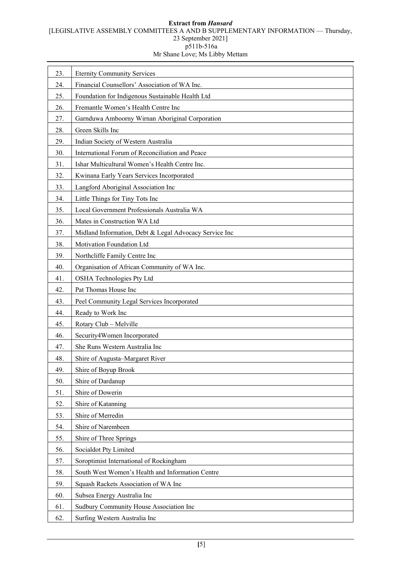# **Extract from** *Hansard* [LEGISLATIVE ASSEMBLY COMMITTEES A AND B SUPPLEMENTARY INFORMATION — Thursday, 23 September 2021] p511b-516a

| Mr Shane Love; Ms Libby Mettam |  |  |
|--------------------------------|--|--|

| 23. | <b>Eternity Community Services</b>                     |
|-----|--------------------------------------------------------|
| 24. | Financial Counsellors' Association of WA Inc.          |
| 25. | Foundation for Indigenous Sustainable Health Ltd       |
| 26. | Fremantle Women's Health Centre Inc                    |
| 27. | Garnduwa Amboorny Wirnan Aboriginal Corporation        |
| 28. | Green Skills Inc                                       |
| 29. | Indian Society of Western Australia                    |
| 30. | International Forum of Reconciliation and Peace        |
| 31. | Ishar Multicultural Women's Health Centre Inc.         |
| 32. | Kwinana Early Years Services Incorporated              |
| 33. | Langford Aboriginal Association Inc                    |
| 34. | Little Things for Tiny Tots Inc                        |
| 35. | Local Government Professionals Australia WA            |
| 36. | Mates in Construction WA Ltd                           |
| 37. | Midland Information, Debt & Legal Advocacy Service Inc |
| 38. | Motivation Foundation Ltd                              |
| 39. | Northcliffe Family Centre Inc                          |
| 40. | Organisation of African Community of WA Inc.           |
| 41. | <b>OSHA Technologies Pty Ltd</b>                       |
| 42. | Pat Thomas House Inc                                   |
| 43. | Peel Community Legal Services Incorporated             |
| 44. | Ready to Work Inc                                      |
| 45. | Rotary Club - Melville                                 |
| 46. | Security4Women Incorporated                            |
| 47. | She Runs Western Australia Inc                         |
| 48. | Shire of Augusta-Margaret River                        |
| 49. | Shire of Boyup Brook                                   |
| 50. | Shire of Dardanup                                      |
| 51. | Shire of Dowerin                                       |
| 52. | Shire of Katanning                                     |
| 53. | Shire of Merredin                                      |
| 54. | Shire of Narembeen                                     |
| 55. | Shire of Three Springs                                 |
| 56. | Socialdot Pty Limited                                  |
| 57. | Soroptimist International of Rockingham                |
| 58. | South West Women's Health and Information Centre       |
| 59. | Squash Rackets Association of WA Inc                   |
| 60. | Subsea Energy Australia Inc                            |
| 61. | Sudbury Community House Association Inc                |
| 62. | Surfing Western Australia Inc                          |